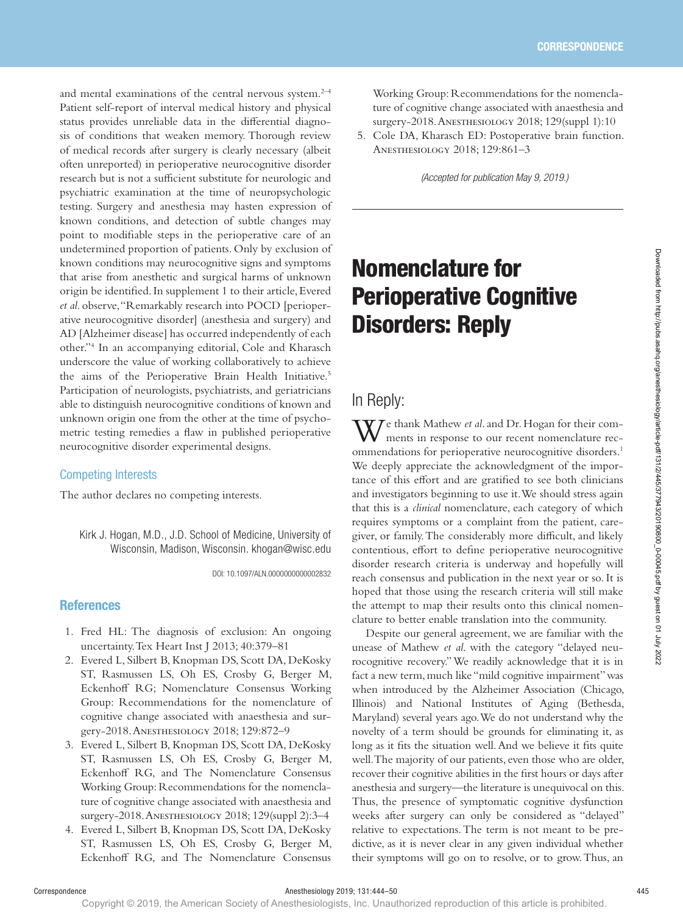and mental examinations of the central nervous system. $2-4$ Patient self-report of interval medical history and physical status provides unreliable data in the differential diagnosis of conditions that weaken memory. Thorough review of medical records after surgery is clearly necessary (albeit often unreported) in perioperative neurocognitive disorder research but is not a sufficient substitute for neurologic and psychiatric examination at the time of neuropsychologic testing. Surgery and anesthesia may hasten expression of known conditions, and detection of subtle changes may point to modifiable steps in the perioperative care of an undetermined proportion of patients. Only by exclusion of known conditions may neurocognitive signs and symptoms that arise from anesthetic and surgical harms of unknown origin be identified. In supplement 1 to their article, Evered *et al*. observe, "Remarkably research into POCD [perioperative neurocognitive disorder] (anesthesia and surgery) and AD [Alzheimer disease] has occurred independently of each other."4 In an accompanying editorial, Cole and Kharasch underscore the value of working collaboratively to achieve the aims of the Perioperative Brain Health Initiative.<sup>5</sup> Participation of neurologists, psychiatrists, and geriatricians able to distinguish neurocognitive conditions of known and unknown origin one from the other at the time of psychometric testing remedies a flaw in published perioperative neurocognitive disorder experimental designs.

#### Competing Interests

The author declares no competing interests.

Kirk J. Hogan, M.D., J.D. School of Medicine, University of Wisconsin, Madison, Wisconsin. [khogan@wisc.edu](mailto:khogan@wisc.edu)

DOI: 10.1097/ALN.0000000000002832

### **References**

- 1. Fred HL: The diagnosis of exclusion: An ongoing uncertainty. Tex Heart Inst J 2013; 40:379–81
- 2. Evered L, Silbert B, Knopman DS, Scott DA, DeKosky ST, Rasmussen LS, Oh ES, Crosby G, Berger M, Eckenhoff RG; Nomenclature Consensus Working Group: Recommendations for the nomenclature of cognitive change associated with anaesthesia and surgery-2018. Anesthesiology 2018; 129:872–9
- 3. Evered L, Silbert B, Knopman DS, Scott DA, DeKosky ST, Rasmussen LS, Oh ES, Crosby G, Berger M, Eckenhoff RG, and The Nomenclature Consensus Working Group: Recommendations for the nomenclature of cognitive change associated with anaesthesia and surgery-2018. Anesthesiology 2018; 129(suppl 2):3–4
- 4. Evered L, Silbert B, Knopman DS, Scott DA, DeKosky ST, Rasmussen LS, Oh ES, Crosby G, Berger M, Eckenhoff RG, and The Nomenclature Consensus

Working Group: Recommendations for the nomenclature of cognitive change associated with anaesthesia and surgery-2018. Anesthesiology 2018; 129(suppl 1):10

5. Cole DA, Kharasch ED: Postoperative brain function. Anesthesiology 2018; 129:861–3

*(Accepted for publication May 9, 2019.)*

# Nomenclature for Perioperative Cognitive Disorders: Reply

### In Reply:

We thank Mathew *et al*. and Dr. Hogan for their comments in response to our recent nomenclature recommendations for perioperative neurocognitive disorders.<sup>1</sup> We deeply appreciate the acknowledgment of the importance of this effort and are gratified to see both clinicians and investigators beginning to use it. We should stress again that this is a *clinical* nomenclature, each category of which requires symptoms or a complaint from the patient, caregiver, or family. The considerably more difficult, and likely contentious, effort to define perioperative neurocognitive disorder research criteria is underway and hopefully will reach consensus and publication in the next year or so. It is hoped that those using the research criteria will still make the attempt to map their results onto this clinical nomenclature to better enable translation into the community.

Despite our general agreement, we are familiar with the unease of Mathew *et al*. with the category "delayed neurocognitive recovery." We readily acknowledge that it is in fact a new term, much like "mild cognitive impairment" was when introduced by the Alzheimer Association (Chicago, Illinois) and National Institutes of Aging (Bethesda, Maryland) several years ago. We do not understand why the novelty of a term should be grounds for eliminating it, as long as it fits the situation well. And we believe it fits quite well. The majority of our patients, even those who are older, recover their cognitive abilities in the first hours or days after anesthesia and surgery—the literature is unequivocal on this. Thus, the presence of symptomatic cognitive dysfunction weeks after surgery can only be considered as "delayed" relative to expectations. The term is not meant to be predictive, as it is never clear in any given individual whether their symptoms will go on to resolve, or to grow. Thus, an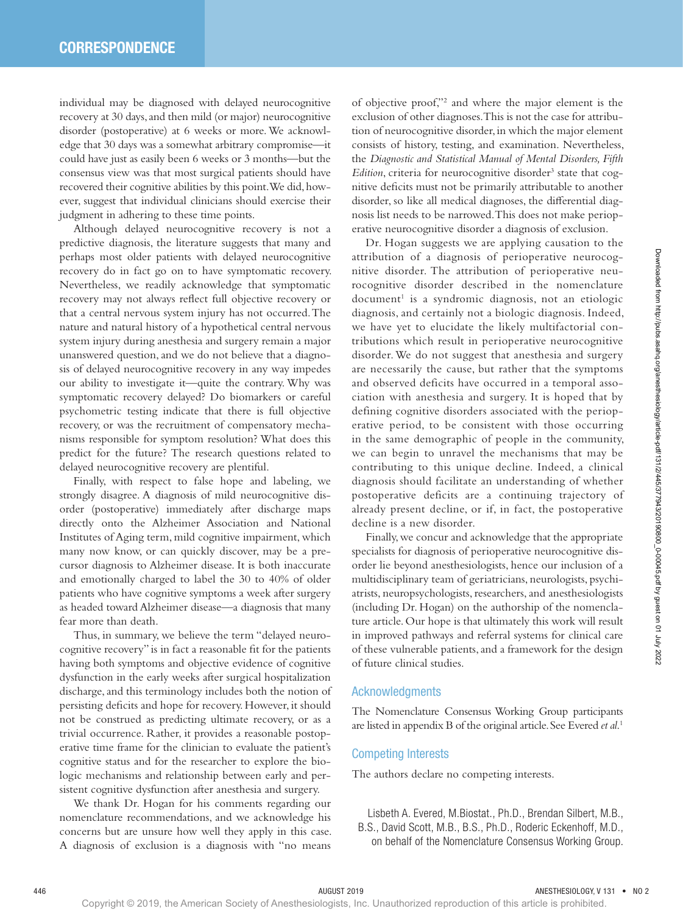individual may be diagnosed with delayed neurocognitive recovery at 30 days, and then mild (or major) neurocognitive disorder (postoperative) at 6 weeks or more. We acknowledge that 30 days was a somewhat arbitrary compromise—it could have just as easily been 6 weeks or 3 months—but the consensus view was that most surgical patients should have recovered their cognitive abilities by this point. We did, however, suggest that individual clinicians should exercise their judgment in adhering to these time points.

Although delayed neurocognitive recovery is not a predictive diagnosis, the literature suggests that many and perhaps most older patients with delayed neurocognitive recovery do in fact go on to have symptomatic recovery. Nevertheless, we readily acknowledge that symptomatic recovery may not always reflect full objective recovery or that a central nervous system injury has not occurred. The nature and natural history of a hypothetical central nervous system injury during anesthesia and surgery remain a major unanswered question, and we do not believe that a diagnosis of delayed neurocognitive recovery in any way impedes our ability to investigate it—quite the contrary. Why was symptomatic recovery delayed? Do biomarkers or careful psychometric testing indicate that there is full objective recovery, or was the recruitment of compensatory mechanisms responsible for symptom resolution? What does this predict for the future? The research questions related to delayed neurocognitive recovery are plentiful.

Finally, with respect to false hope and labeling, we strongly disagree. A diagnosis of mild neurocognitive disorder (postoperative) immediately after discharge maps directly onto the Alzheimer Association and National Institutes of Aging term, mild cognitive impairment, which many now know, or can quickly discover, may be a precursor diagnosis to Alzheimer disease. It is both inaccurate and emotionally charged to label the 30 to 40% of older patients who have cognitive symptoms a week after surgery as headed toward Alzheimer disease—a diagnosis that many fear more than death.

Thus, in summary, we believe the term "delayed neurocognitive recovery" is in fact a reasonable fit for the patients having both symptoms and objective evidence of cognitive dysfunction in the early weeks after surgical hospitalization discharge, and this terminology includes both the notion of persisting deficits and hope for recovery. However, it should not be construed as predicting ultimate recovery, or as a trivial occurrence. Rather, it provides a reasonable postoperative time frame for the clinician to evaluate the patient's cognitive status and for the researcher to explore the biologic mechanisms and relationship between early and persistent cognitive dysfunction after anesthesia and surgery.

We thank Dr. Hogan for his comments regarding our nomenclature recommendations, and we acknowledge his concerns but are unsure how well they apply in this case. A diagnosis of exclusion is a diagnosis with "no means

of objective proof,"2 and where the major element is the exclusion of other diagnoses. This is not the case for attribution of neurocognitive disorder, in which the major element consists of history, testing, and examination. Nevertheless, the *Diagnostic and Statistical Manual of Mental Disorders, Fifth*  Edition, criteria for neurocognitive disorder<sup>3</sup> state that cognitive deficits must not be primarily attributable to another disorder, so like all medical diagnoses, the differential diagnosis list needs to be narrowed. This does not make perioperative neurocognitive disorder a diagnosis of exclusion.

Dr. Hogan suggests we are applying causation to the attribution of a diagnosis of perioperative neurocognitive disorder. The attribution of perioperative neurocognitive disorder described in the nomenclature document<sup>1</sup> is a syndromic diagnosis, not an etiologic diagnosis, and certainly not a biologic diagnosis. Indeed, we have yet to elucidate the likely multifactorial contributions which result in perioperative neurocognitive disorder. We do not suggest that anesthesia and surgery are necessarily the cause, but rather that the symptoms and observed deficits have occurred in a temporal association with anesthesia and surgery. It is hoped that by defining cognitive disorders associated with the perioperative period, to be consistent with those occurring in the same demographic of people in the community, we can begin to unravel the mechanisms that may be contributing to this unique decline. Indeed, a clinical diagnosis should facilitate an understanding of whether postoperative deficits are a continuing trajectory of already present decline, or if, in fact, the postoperative decline is a new disorder.

Finally, we concur and acknowledge that the appropriate specialists for diagnosis of perioperative neurocognitive disorder lie beyond anesthesiologists, hence our inclusion of a multidisciplinary team of geriatricians, neurologists, psychiatrists, neuropsychologists, researchers, and anesthesiologists (including Dr. Hogan) on the authorship of the nomenclature article. Our hope is that ultimately this work will result in improved pathways and referral systems for clinical care of these vulnerable patients, and a framework for the design of future clinical studies.

#### Acknowledgments

The Nomenclature Consensus Working Group participants are listed in appendix B of the original article. See Evered *et al*. 1

#### Competing Interests

The authors declare no competing interests.

Lisbeth A. Evered, M.Biostat., Ph.D., Brendan Silbert, M.B., B.S., David Scott, M.B., B.S., Ph.D., Roderic Eckenhoff, M.D., on behalf of the Nomenclature Consensus Working Group.

Copyright © 2019, the American Society of Anesthesiologists, Inc. Unauthorized reproduction of this article is prohibited.